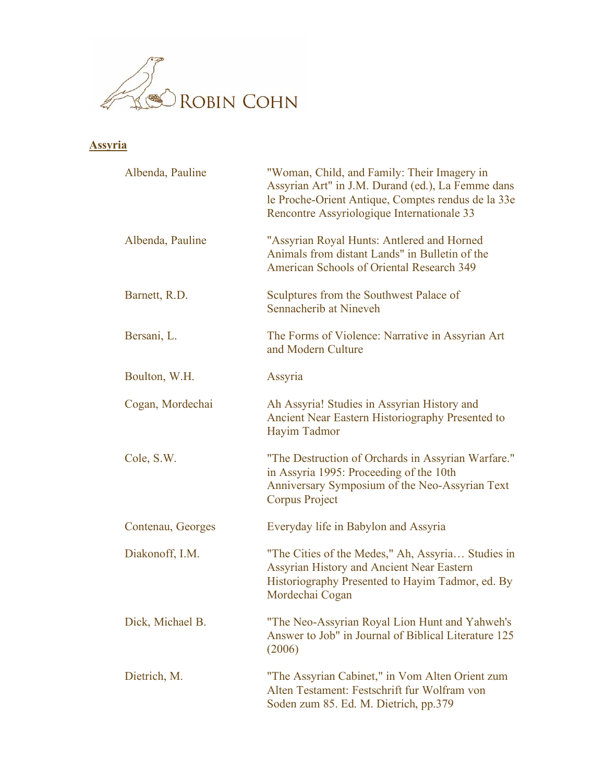

## **Assyria**

| Albenda, Pauline  | "Woman, Child, and Family: Their Imagery in<br>Assyrian Art" in J.M. Durand (ed.), La Femme dans<br>le Proche-Orient Antique, Comptes rendus de la 33e<br>Rencontre Assyriologique Internationale 33 |
|-------------------|------------------------------------------------------------------------------------------------------------------------------------------------------------------------------------------------------|
| Albenda, Pauline  | "Assyrian Royal Hunts: Antlered and Horned<br>Animals from distant Lands" in Bulletin of the<br><b>American Schools of Oriental Research 349</b>                                                     |
| Barnett, R.D.     | Sculptures from the Southwest Palace of<br>Sennacherib at Nineveh                                                                                                                                    |
| Bersani, L.       | The Forms of Violence: Narrative in Assyrian Art<br>and Modern Culture                                                                                                                               |
| Boulton, W.H.     | Assyria                                                                                                                                                                                              |
| Cogan, Mordechai  | Ah Assyria! Studies in Assyrian History and<br>Ancient Near Eastern Historiography Presented to<br>Hayim Tadmor                                                                                      |
| Cole, S.W.        | "The Destruction of Orchards in Assyrian Warfare."<br>in Assyria 1995: Proceeding of the 10th<br>Anniversary Symposium of the Neo-Assyrian Text<br><b>Corpus Project</b>                             |
| Contenau, Georges | Everyday life in Babylon and Assyria                                                                                                                                                                 |
| Diakonoff, I.M.   | "The Cities of the Medes," Ah, Assyria Studies in<br>Assyrian History and Ancient Near Eastern<br>Historiography Presented to Hayim Tadmor, ed. By<br>Mordechai Cogan                                |
| Dick, Michael B.  | "The Neo-Assyrian Royal Lion Hunt and Yahweh's<br>Answer to Job" in Journal of Biblical Literature 125<br>(2006)                                                                                     |
| Dietrich, M.      | "The Assyrian Cabinet," in Vom Alten Orient zum<br>Alten Testament: Festschrift fur Wolfram von<br>Soden zum 85. Ed. M. Dietrich, pp.379                                                             |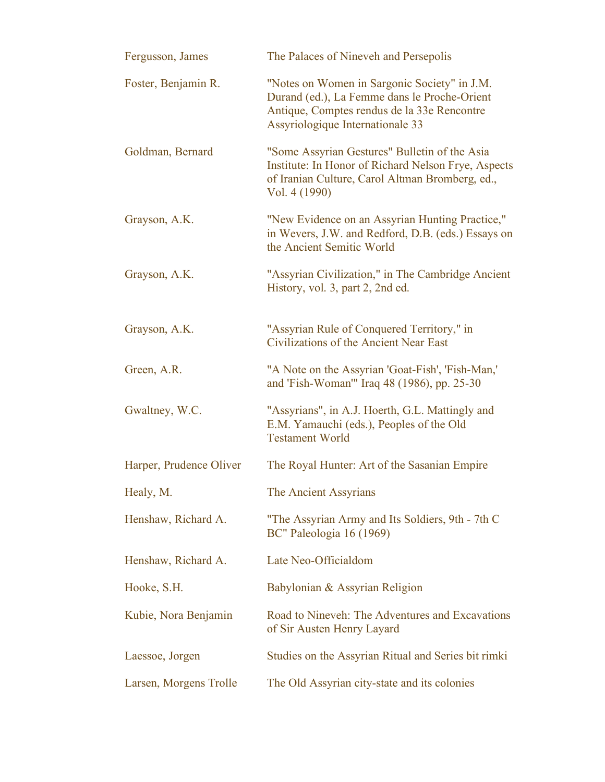| Fergusson, James        | The Palaces of Nineveh and Persepolis                                                                                                                                           |
|-------------------------|---------------------------------------------------------------------------------------------------------------------------------------------------------------------------------|
| Foster, Benjamin R.     | "Notes on Women in Sargonic Society" in J.M.<br>Durand (ed.), La Femme dans le Proche-Orient<br>Antique, Comptes rendus de la 33e Rencontre<br>Assyriologique Internationale 33 |
| Goldman, Bernard        | "Some Assyrian Gestures" Bulletin of the Asia<br>Institute: In Honor of Richard Nelson Frye, Aspects<br>of Iranian Culture, Carol Altman Bromberg, ed.,<br>Vol. 4 (1990)        |
| Grayson, A.K.           | "New Evidence on an Assyrian Hunting Practice,"<br>in Wevers, J.W. and Redford, D.B. (eds.) Essays on<br>the Ancient Semitic World                                              |
| Grayson, A.K.           | "Assyrian Civilization," in The Cambridge Ancient<br>History, vol. 3, part 2, 2nd ed.                                                                                           |
| Grayson, A.K.           | "Assyrian Rule of Conquered Territory," in<br>Civilizations of the Ancient Near East                                                                                            |
| Green, A.R.             | "A Note on the Assyrian 'Goat-Fish', 'Fish-Man,'<br>and 'Fish-Woman'" Iraq 48 (1986), pp. 25-30                                                                                 |
| Gwaltney, W.C.          | "Assyrians", in A.J. Hoerth, G.L. Mattingly and<br>E.M. Yamauchi (eds.), Peoples of the Old<br><b>Testament World</b>                                                           |
| Harper, Prudence Oliver | The Royal Hunter: Art of the Sasanian Empire                                                                                                                                    |
| Healy, M.               | The Ancient Assyrians                                                                                                                                                           |
| Henshaw, Richard A.     | "The Assyrian Army and Its Soldiers, 9th - 7th C<br>BC" Paleologia 16 (1969)                                                                                                    |
| Henshaw, Richard A.     | Late Neo-Officialdom                                                                                                                                                            |
| Hooke, S.H.             | Babylonian & Assyrian Religion                                                                                                                                                  |
| Kubie, Nora Benjamin    | Road to Nineveh: The Adventures and Excavations<br>of Sir Austen Henry Layard                                                                                                   |
| Laessoe, Jorgen         | Studies on the Assyrian Ritual and Series bit rimki                                                                                                                             |
| Larsen, Morgens Trolle  | The Old Assyrian city-state and its colonies                                                                                                                                    |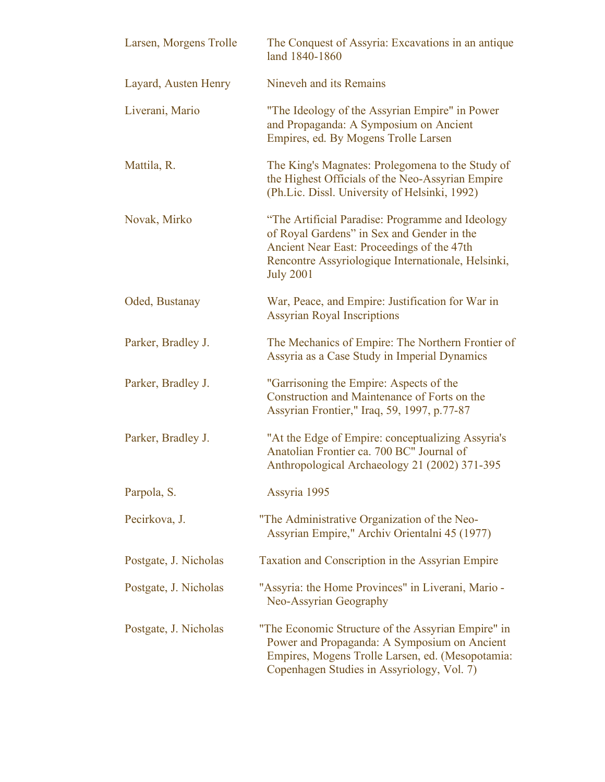| Larsen, Morgens Trolle | The Conquest of Assyria: Excavations in an antique<br>land 1840-1860                                                                                                                                                   |
|------------------------|------------------------------------------------------------------------------------------------------------------------------------------------------------------------------------------------------------------------|
| Layard, Austen Henry   | Nineveh and its Remains                                                                                                                                                                                                |
| Liverani, Mario        | "The Ideology of the Assyrian Empire" in Power<br>and Propaganda: A Symposium on Ancient<br>Empires, ed. By Mogens Trolle Larsen                                                                                       |
| Mattila, R.            | The King's Magnates: Prolegomena to the Study of<br>the Highest Officials of the Neo-Assyrian Empire<br>(Ph.Lic. Dissl. University of Helsinki, 1992)                                                                  |
| Novak, Mirko           | "The Artificial Paradise: Programme and Ideology<br>of Royal Gardens" in Sex and Gender in the<br>Ancient Near East: Proceedings of the 47th<br>Rencontre Assyriologique Internationale, Helsinki,<br><b>July 2001</b> |
| Oded, Bustanay         | War, Peace, and Empire: Justification for War in<br><b>Assyrian Royal Inscriptions</b>                                                                                                                                 |
| Parker, Bradley J.     | The Mechanics of Empire: The Northern Frontier of<br>Assyria as a Case Study in Imperial Dynamics                                                                                                                      |
| Parker, Bradley J.     | "Garrisoning the Empire: Aspects of the<br>Construction and Maintenance of Forts on the<br>Assyrian Frontier," Iraq, 59, 1997, p.77-87                                                                                 |
| Parker, Bradley J.     | "At the Edge of Empire: conceptualizing Assyria's<br>Anatolian Frontier ca. 700 BC" Journal of<br>Anthropological Archaeology 21 (2002) 371-395                                                                        |
| Parpola, S.            | Assyria 1995                                                                                                                                                                                                           |
| Pecirkova, J.          | "The Administrative Organization of the Neo-<br>Assyrian Empire," Archiv Orientalni 45 (1977)                                                                                                                          |
| Postgate, J. Nicholas  | Taxation and Conscription in the Assyrian Empire                                                                                                                                                                       |
| Postgate, J. Nicholas  | "Assyria: the Home Provinces" in Liverani, Mario -<br>Neo-Assyrian Geography                                                                                                                                           |
| Postgate, J. Nicholas  | "The Economic Structure of the Assyrian Empire" in<br>Power and Propaganda: A Symposium on Ancient<br>Empires, Mogens Trolle Larsen, ed. (Mesopotamia:<br>Copenhagen Studies in Assyriology, Vol. 7)                   |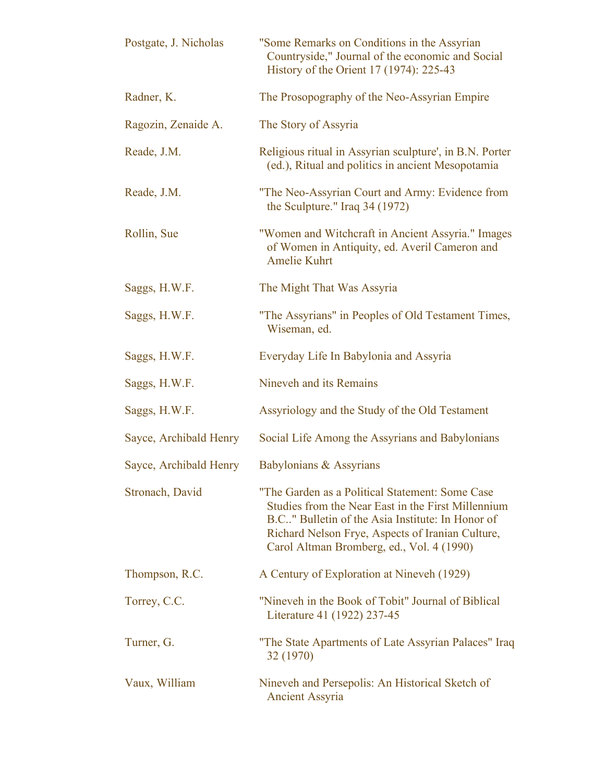| Postgate, J. Nicholas  | "Some Remarks on Conditions in the Assyrian<br>Countryside," Journal of the economic and Social<br>History of the Orient 17 (1974): 225-43                                                                                                                 |
|------------------------|------------------------------------------------------------------------------------------------------------------------------------------------------------------------------------------------------------------------------------------------------------|
| Radner, K.             | The Prosopography of the Neo-Assyrian Empire                                                                                                                                                                                                               |
| Ragozin, Zenaide A.    | The Story of Assyria                                                                                                                                                                                                                                       |
| Reade, J.M.            | Religious ritual in Assyrian sculpture', in B.N. Porter<br>(ed.), Ritual and politics in ancient Mesopotamia                                                                                                                                               |
| Reade, J.M.            | "The Neo-Assyrian Court and Army: Evidence from<br>the Sculpture." Iraq 34 (1972)                                                                                                                                                                          |
| Rollin, Sue            | "Women and Witchcraft in Ancient Assyria." Images<br>of Women in Antiquity, ed. Averil Cameron and<br><b>Amelie Kuhrt</b>                                                                                                                                  |
| Saggs, H.W.F.          | The Might That Was Assyria                                                                                                                                                                                                                                 |
| Saggs, H.W.F.          | "The Assyrians" in Peoples of Old Testament Times,<br>Wiseman, ed.                                                                                                                                                                                         |
| Saggs, H.W.F.          | Everyday Life In Babylonia and Assyria                                                                                                                                                                                                                     |
| Saggs, H.W.F.          | Nineveh and its Remains                                                                                                                                                                                                                                    |
| Saggs, H.W.F.          | Assyriology and the Study of the Old Testament                                                                                                                                                                                                             |
| Sayce, Archibald Henry | Social Life Among the Assyrians and Babylonians                                                                                                                                                                                                            |
| Sayce, Archibald Henry | Babylonians & Assyrians                                                                                                                                                                                                                                    |
| Stronach, David        | "The Garden as a Political Statement: Some Case<br>Studies from the Near East in the First Millennium<br>B.C" Bulletin of the Asia Institute: In Honor of<br>Richard Nelson Frye, Aspects of Iranian Culture,<br>Carol Altman Bromberg, ed., Vol. 4 (1990) |
| Thompson, R.C.         | A Century of Exploration at Nineveh (1929)                                                                                                                                                                                                                 |
| Torrey, C.C.           | "Nineveh in the Book of Tobit" Journal of Biblical<br>Literature 41 (1922) 237-45                                                                                                                                                                          |
| Turner, G.             | "The State Apartments of Late Assyrian Palaces" Iraq<br>32 (1970)                                                                                                                                                                                          |
| Vaux, William          | Nineveh and Persepolis: An Historical Sketch of<br><b>Ancient Assyria</b>                                                                                                                                                                                  |